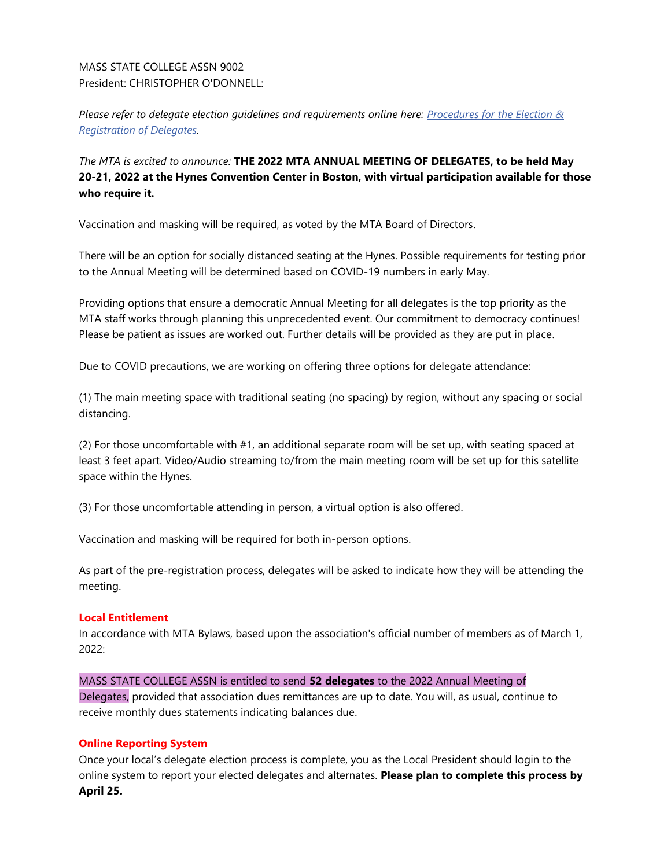# MASS STATE COLLEGE ASSN 9002 President: CHRISTOPHER O'DONNELL:

*Please refer to delegate election guidelines and requirements online here: [Procedures for the Election &](https://massteacher.sharepoint.com/:b:/s/GovernanceExternalSharing/EbpL4t7aBvxMmKRTBrfO_AYBf5G_ZPxiigCvBtVLL7tLJw?e=hdPkth)  [Registration of Delegates.](https://massteacher.sharepoint.com/:b:/s/GovernanceExternalSharing/EbpL4t7aBvxMmKRTBrfO_AYBf5G_ZPxiigCvBtVLL7tLJw?e=hdPkth)*

*The MTA is excited to announce:* **THE 2022 MTA ANNUAL MEETING OF DELEGATES, to be held May 20-21, 2022 at the Hynes Convention Center in Boston, with virtual participation available for those who require it.**

Vaccination and masking will be required, as voted by the MTA Board of Directors.

There will be an option for socially distanced seating at the Hynes. Possible requirements for testing prior to the Annual Meeting will be determined based on COVID-19 numbers in early May.

Providing options that ensure a democratic Annual Meeting for all delegates is the top priority as the MTA staff works through planning this unprecedented event. Our commitment to democracy continues! Please be patient as issues are worked out. Further details will be provided as they are put in place.

Due to COVID precautions, we are working on offering three options for delegate attendance:

(1) The main meeting space with traditional seating (no spacing) by region, without any spacing or social distancing.

(2) For those uncomfortable with #1, an additional separate room will be set up, with seating spaced at least 3 feet apart. Video/Audio streaming to/from the main meeting room will be set up for this satellite space within the Hynes.

(3) For those uncomfortable attending in person, a virtual option is also offered.

Vaccination and masking will be required for both in-person options.

As part of the pre-registration process, delegates will be asked to indicate how they will be attending the meeting.

## **Local Entitlement**

In accordance with MTA Bylaws, based upon the association's official number of members as of March 1, 2022:

MASS STATE COLLEGE ASSN is entitled to send **52 delegates** to the 2022 Annual Meeting of Delegates, provided that association dues remittances are up to date. You will, as usual, continue to receive monthly dues statements indicating balances due.

#### **Online Reporting System**

Once your local's delegate election process is complete, you as the Local President should login to the online system to report your elected delegates and alternates. **Please plan to complete this process by April 25.**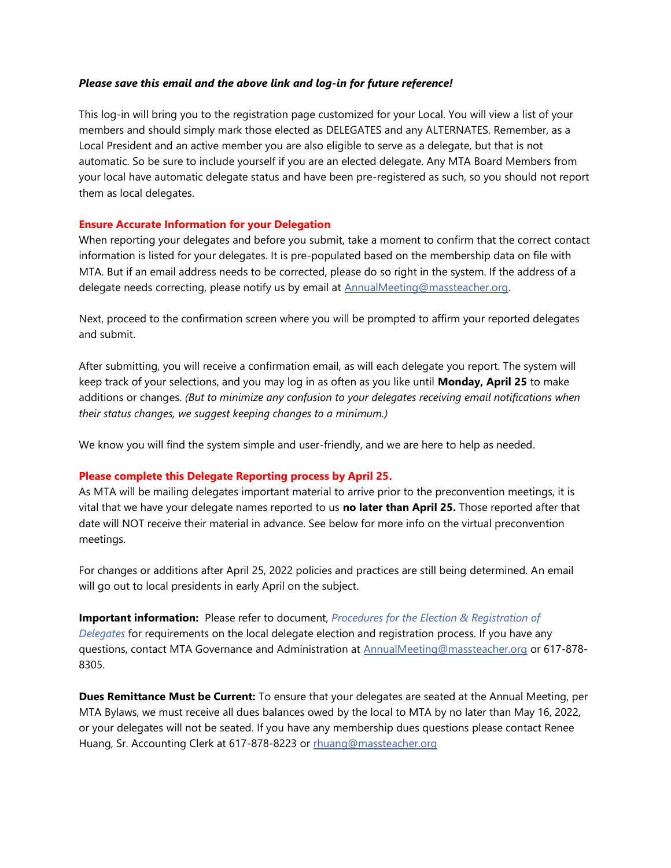## *Please save this email and the above link and log-in for future reference!*

This log-in will bring you to the registration page customized for your Local. You will view a list of your members and should simply mark those elected as DELEGATES and any ALTERNATES. Remember, as a Local President and an active member you are also eligible to serve as a delegate, but that is not automatic. So be sure to include yourself if you are an elected delegate. Any MTA Board Members from your local have automatic delegate status and have been pre-registered as such, so you should not report them as local delegates.

## **Ensure Accurate Information for your Delegation**

When reporting your delegates and before you submit, take a moment to confirm that the correct contact information is listed for your delegates. It is pre-populated based on the membership data on file with MTA. But if an email address needs to be corrected, please do so right in the system. If the address of a delegate needs correcting, please notify us by email at [AnnualMeeting@massteacher.org.](mailto:AnnualMeeting@massteacher.org)

Next, proceed to the confirmation screen where you will be prompted to affirm your reported delegates and submit.

After submitting, you will receive a confirmation email, as will each delegate you report. The system will keep track of your selections, and you may log in as often as you like until **Monday, April 25** to make additions or changes. *(But to minimize any confusion to your delegates receiving email notifications when their status changes, we suggest keeping changes to a minimum.)*

We know you will find the system simple and user-friendly, and we are here to help as needed.

#### **Please complete this Delegate Reporting process by April 25.**

As MTA will be mailing delegates important material to arrive prior to the preconvention meetings, it is vital that we have your delegate names reported to us **no later than April 25.** Those reported after that date will NOT receive their material in advance. See below for more info on the virtual preconvention meetings.

For changes or additions after April 25, 2022 policies and practices are still being determined. An email will go out to local presidents in early April on the subject.

**Important information:** Please refer to document, *[Procedures for the Election & Registration of](https://massteacher.sharepoint.com/:b:/s/GovernanceExternalSharing/EbpL4t7aBvxMmKRTBrfO_AYBf5G_ZPxiigCvBtVLL7tLJw?e=hdPkth)  [Delegates](https://massteacher.sharepoint.com/:b:/s/GovernanceExternalSharing/EbpL4t7aBvxMmKRTBrfO_AYBf5G_ZPxiigCvBtVLL7tLJw?e=hdPkth)* for requirements on the local delegate election and registration process. If you have any questions, contact MTA Governance and Administration at [AnnualMeeting@massteacher.org](mailto:AnnualMeeting@massteacher.org) or 617-878- 8305.

**Dues Remittance Must be Current:** To ensure that your delegates are seated at the Annual Meeting, per MTA Bylaws, we must receive all dues balances owed by the local to MTA by no later than May 16, 2022, or your delegates will not be seated. If you have any membership dues questions please contact Renee Huang, Sr. Accounting Clerk at 617-878-8223 or [rhuang@massteacher.org](mailto:rhuang@massteacher.org)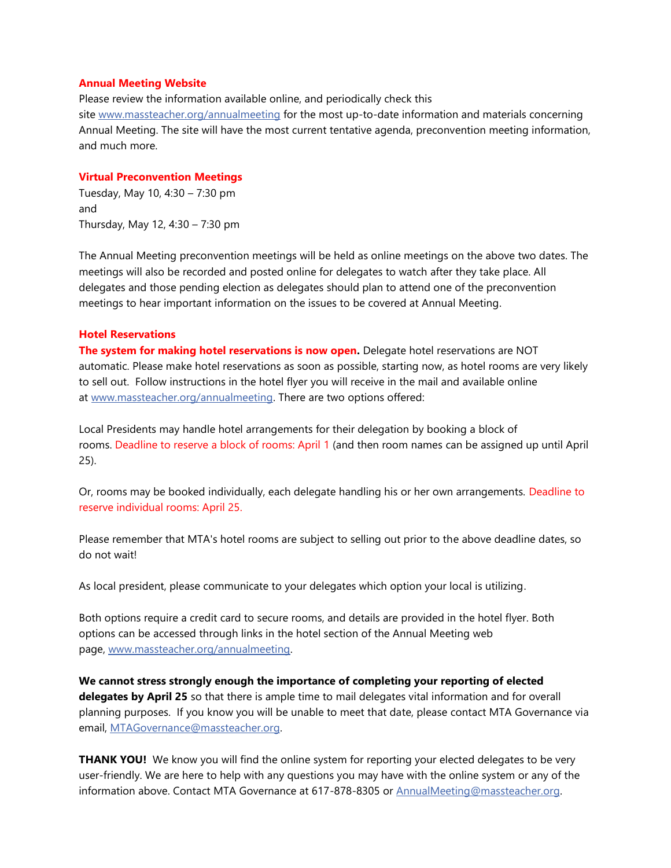#### **Annual Meeting Website**

Please review the information available online, and periodically check this site [www.massteacher.org/annualmeeting](http://www.massteacher.org/annualmeeting) for the most up-to-date information and materials concerning Annual Meeting. The site will have the most current tentative agenda, preconvention meeting information, and much more.

#### **Virtual Preconvention Meetings**

Tuesday, May 10, 4:30 – 7:30 pm and Thursday, May 12, 4:30 – 7:30 pm

The Annual Meeting preconvention meetings will be held as online meetings on the above two dates. The meetings will also be recorded and posted online for delegates to watch after they take place. All delegates and those pending election as delegates should plan to attend one of the preconvention meetings to hear important information on the issues to be covered at Annual Meeting.

## **Hotel Reservations**

**The system for making hotel reservations is now open.** Delegate hotel reservations are NOT automatic. Please make hotel reservations as soon as possible, starting now, as hotel rooms are very likely to sell out. Follow instructions in the hotel flyer you will receive in the mail and available online at [www.massteacher.org/annualmeeting.](http://www.massteacher.org/annualmeeting) There are two options offered:

Local Presidents may handle hotel arrangements for their delegation by booking a block of rooms. Deadline to reserve a block of rooms: April 1 (and then room names can be assigned up until April 25).

Or, rooms may be booked individually, each delegate handling his or her own arrangements. Deadline to reserve individual rooms: April 25.

Please remember that MTA's hotel rooms are subject to selling out prior to the above deadline dates, so do not wait!

As local president, please communicate to your delegates which option your local is utilizing.

Both options require a credit card to secure rooms, and details are provided in the hotel flyer. Both options can be accessed through links in the hotel section of the Annual Meeting web page, [www.massteacher.org/annualmeeting.](http://www.massteacher.org/annualmeeting)

**We cannot stress strongly enough the importance of completing your reporting of elected delegates by April 25** so that there is ample time to mail delegates vital information and for overall planning purposes. If you know you will be unable to meet that date, please contact MTA Governance via email, [MTAGovernance@massteacher.org.](mailto:MTAGovernance@massteacher.org)

**THANK YOU!** We know you will find the online system for reporting your elected delegates to be very user-friendly. We are here to help with any questions you may have with the online system or any of the information above. Contact MTA Governance at 617-878-8305 or [AnnualMeeting@massteacher.org.](mailto:AnnualMeeting@massteacher.org)